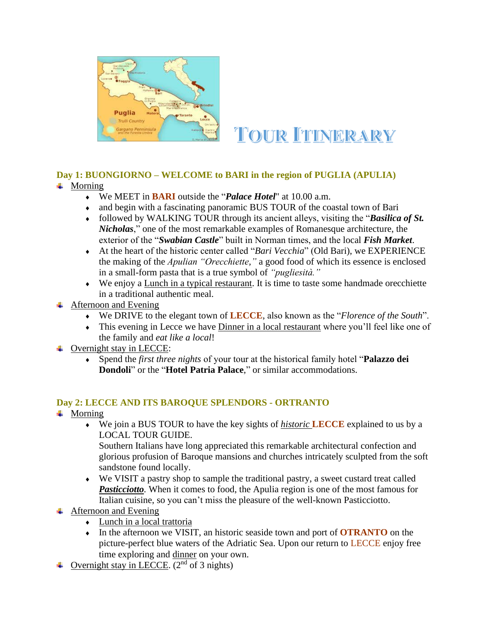

# **TOUR ITINERARY**

# **Day 1: BUONGIORNO – WELCOME to BARI in the region of PUGLIA (APULIA)**

- $\blacksquare$  Morning
	- We MEET in **BARI** outside the "*Palace Hotel*" at 10.00 a.m.
	- and begin with a fascinating panoramic BUS TOUR of the coastal town of Bari
	- followed by WALKING TOUR through its ancient alleys, visiting the "*Basilica of St. Nicholas*," one of the most remarkable examples of Romanesque architecture, the exterior of the "*Swabian Castle*" built in Norman times, and the local *Fish Market*.
	- At the heart of the historic center called "*Bari Vecchia*" (Old Bari), we EXPERIENCE the making of the *Apulian "Orecchiette,"* a good food of which its essence is enclosed in a small-form pasta that is a true symbol of *"pugliesità."*
	- We enjoy a Lunch in a typical restaurant. It is time to taste some handmade orecchiette in a traditional authentic meal.
- Afternoon and Evening
	- We DRIVE to the elegant town of **LECCE**, also known as the "*Florence of the South*".
	- This evening in Lecce we have Dinner in a local restaurant where you'll feel like one of the family and *eat like a local*!
- $\overline{\phantom{a}}$  Overnight stay in LECCE:
	- Spend the *first three nights* of your tour at the historical family hotel "**[Palazzo dei](http://www.palazzodeidondoli.it/)  [Dondoli](http://www.palazzodeidondoli.it/)**" or the "**[Hotel Patria Palace](https://patriapalace.com/en/)**," or similar accommodations.

# **Day 2: LECCE AND ITS BAROQUE SPLENDORS - ORTRANTO**

- $\blacksquare$  Morning
	- We join a BUS TOUR to have the key sights of *historic* **LECCE** explained to us by a LOCAL TOUR GUIDE.

Southern Italians have long appreciated this remarkable architectural confection and glorious profusion of Baroque mansions and churches intricately sculpted from the soft sandstone found locally.

- We VISIT a pastry shop to sample the traditional pastry, a sweet custard treat called *Pasticciotto*. When it comes to food, the Apulia region is one of the most famous for Italian cuisine, so you can't miss the pleasure of the well-known Pasticciotto.
- $\overline{\phantom{a}}$  Afternoon and Evening
	- Lunch in a local trattoria
	- In the afternoon we VISIT, an historic seaside town and port of **OTRANTO** on the picture-perfect blue waters of the Adriatic Sea. Upon our return to LECCE enjoy free time exploring and dinner on your own.
- $\overline{+}$  Overnight stay in LECCE. (2<sup>nd</sup> of 3 nights)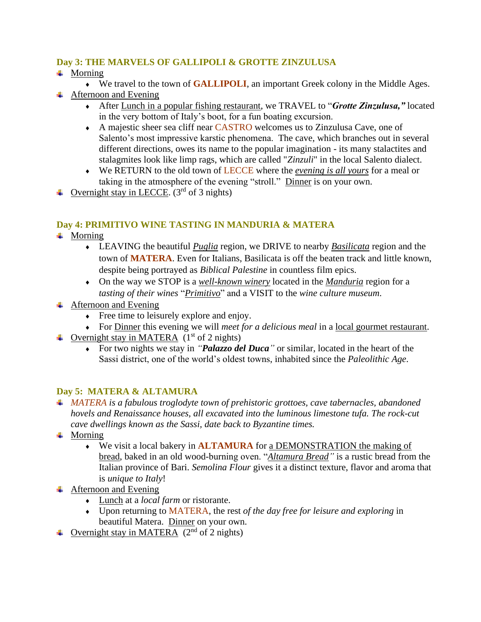### **Day 3: THE MARVELS OF GALLIPOLI & GROTTE ZINZULUSA**

- $\ddot{+}$  Morning
	- We travel to the town of **GALLIPOLI**, an important Greek colony in the Middle Ages.
- $\overline{\phantom{a}}$  Afternoon and Evening
	- After Lunch in a popular fishing restaurant, we TRAVEL to "*Grotte Zinzulusa,"* located in the very bottom of Italy's boot, for a fun boating excursion.
	- A majestic sheer sea cliff near CASTRO welcomes us to Zinzulusa Cave, one of Salento's most impressive karstic phenomena. The cave, which branches out in several different directions, owes its name to the popular imagination - its many stalactites and stalagmites look like limp rags, which are called "*Zinzuli*" in the local Salento dialect.
	- We RETURN to the old town of LECCE where the *evening is all yours* for a meal or taking in the atmosphere of the evening "stroll." Dinner is on your own.
- ← Overnight stay in LECCE.  $(3<sup>rd</sup>$  of 3 nights)

#### **Day 4: PRIMITIVO WINE TASTING IN MANDURIA & MATERA**

- $\overline{\phantom{a}}$  Morning
	- LEAVING the beautiful *Puglia* region, we DRIVE to nearby *Basilicata* region and the town of **MATERA**. Even for Italians, Basilicata is off the beaten track and little known, despite being portrayed as *Biblical Palestine* in countless film epics.
	- On the way we STOP is a *well-known winery* located in the *Manduria* region for a *tasting of their wines* "*Primitivo*" and a VISIT to the *wine culture museum*.
- $\overline{\text{4}}$  Afternoon and Evening
	- Free time to leisurely explore and enjoy.
	- For Dinner this evening we will *meet for a delicious meal* in a local gourmet restaurant.
- $\triangleq$  Overnight stay in MATERA (1<sup>st</sup> of 2 nights)
	- For two nights we stay in *"[Palazzo](https://www.palazzodelducamatera.it/en/) del Duca"* or similar, located in the heart of the Sassi district, one of the world's oldest towns, inhabited since the *Paleolithic Age*.

#### **Day 5: MATERA & ALTAMURA**

- *MATERA is a fabulous troglodyte town of prehistoric grottoes, cave tabernacles, abandoned hovels and Renaissance houses, all excavated into the luminous limestone tufa. The rock-cut cave dwellings known as the Sassi, date back to Byzantine times.*
- $\blacksquare$  Morning
	- We visit a local bakery in **ALTAMURA** for a DEMONSTRATION the making of bread, baked in an old wood-burning oven. "*Altamura Bread"* is a rustic bread from the Italian province of Bari. *Semolina Flour* gives it a distinct texture, flavor and aroma that is *unique to Italy*!
- + Afternoon and Evening
	- Lunch at a *local farm* or ristorante.
	- Upon returning to MATERA, the rest *of the day free for leisure and exploring* in beautiful Matera. Dinner on your own.
- $\overline{\phantom{a}}$  Overnight stay in MATERA (2<sup>nd</sup> of 2 nights)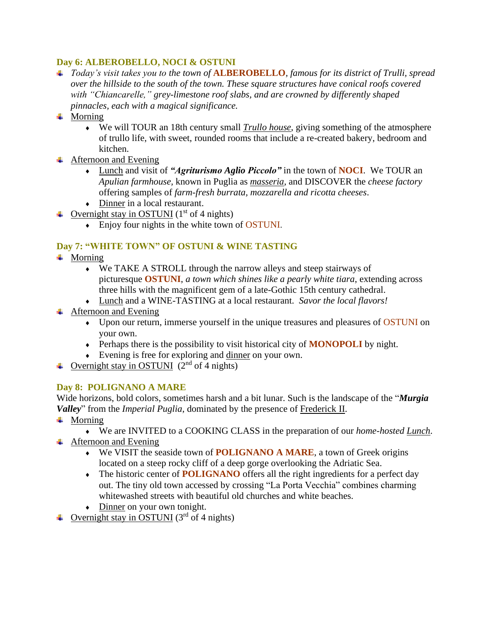#### **Day 6: ALBEROBELLO, NOCI & OSTUNI**

*Today's visit takes you to the town of* **ALBEROBELLO***, famous for its district of Trulli, spread over the hillside to the south of the town. These square structures have conical roofs covered with "Chiancarelle," grey-limestone roof slabs, and are crowned by differently shaped pinnacles, each with a magical significance.* 

# $\overline{\phantom{a}}$  Morning

- We will TOUR an 18th century small *Trullo house*, giving something of the atmosphere of trullo life, with sweet, rounded rooms that include a re-created bakery, bedroom and kitchen.
- + Afternoon and Evening
	- Lunch and visit of *"Agriturismo Aglio Piccolo"* in the town of **NOCI**. We TOUR an *Apulian farmhouse,* known in Puglia as *masseria,* and DISCOVER the *cheese factory* offering samples of *farm-fresh burrata, mozzarella and ricotta cheeses*.
	- Dinner in a local restaurant.
- $\triangleq$  Overnight stay in OSTUNI (1<sup>st</sup> of 4 nights)
	- Enjoy four nights in the white town of OSTUNI.

# **Day 7: "WHITE TOWN" OF OSTUNI & WINE TASTING**

- $\blacksquare$  Morning
	- We TAKE A STROLL through the narrow alleys and steep stairways of picturesque **OSTUNI**, *a town which shines like a pearly white tiara*, extending across three hills with the magnificent gem of a late-Gothic 15th century cathedral.
	- Lunch and a WINE-TASTING at a local restaurant. *Savor the local flavors!*
- $\overline{\phantom{a}}$  Afternoon and Evening
	- Upon our return, immerse yourself in the unique treasures and pleasures of OSTUNI on your own.
	- Perhaps there is the possibility to visit historical city of **MONOPOLI** by night.
	- Evening is free for exploring and dinner on your own.
- $\triangleq$  Overnight stay in OSTUNI (2<sup>nd</sup> of 4 nights)

# **Day 8: POLIGNANO A MARE**

Wide horizons, bold colors, sometimes harsh and a bit lunar. Such is the landscape of the "*Murgia Valley*" from the *Imperial Puglia*, dominated by the presence of **Frederick II**.

- $\downarrow$  Morning
	- We are INVITED to a COOKING CLASS in the preparation of our *home-hosted Lunch*.
- $\overline{\phantom{a}}$  Afternoon and Evening
	- We VISIT the seaside town of **POLIGNANO A MARE**, a town of Greek origins located on a steep rocky cliff of a deep gorge overlooking the Adriatic Sea.
	- The historic center of **POLIGNANO** offers all the right ingredients for a perfect day out. The tiny old town accessed by crossing "La Porta Vecchia" combines charming whitewashed streets with beautiful old churches and white beaches.
	- Dinner on your own tonight.
- Overnight stay in OSTUNI ( $3<sup>rd</sup>$  of 4 nights)